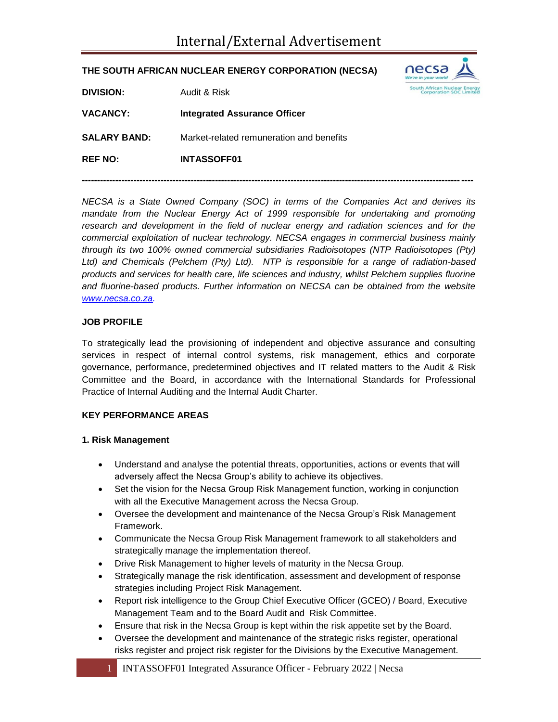### **THE SOUTH AFRICAN NUCLEAR ENERGY CORPORATION (NECSA)**



| <b>DIVISION:</b>    | Audit & Risk                             |
|---------------------|------------------------------------------|
| <b>VACANCY:</b>     | Integrated Assurance Officer             |
| <b>SALARY BAND:</b> | Market-related remuneration and benefits |
| <b>REF NO:</b>      | <b>INTASSOFF01</b>                       |

*NECSA is a State Owned Company (SOC) in terms of the Companies Act and derives its mandate from the Nuclear Energy Act of 1999 responsible for undertaking and promoting* research and development in the field of nuclear energy and radiation sciences and for the *commercial exploitation of nuclear technology. NECSA engages in commercial business mainly through its two 100% owned commercial subsidiaries Radioisotopes (NTP Radioisotopes (Pty) Ltd) and Chemicals (Pelchem (Pty) Ltd). NTP is responsible for a range of radiation-based products and services for health care, life sciences and industry, whilst Pelchem supplies fluorine and fluorine-based products. Further information on NECSA can be obtained from the website [www.necsa.co.za.](http://www.necsa.co.za/)* 

**---------------------------------------------------------------------------------------------------------------------------------**

## **JOB PROFILE**

To strategically lead the provisioning of independent and objective assurance and consulting services in respect of internal control systems, risk management, ethics and corporate governance, performance, predetermined objectives and IT related matters to the Audit & Risk Committee and the Board, in accordance with the International Standards for Professional Practice of Internal Auditing and the Internal Audit Charter.

#### **KEY PERFORMANCE AREAS**

#### **1. Risk Management**

- Understand and analyse the potential threats, opportunities, actions or events that will adversely affect the Necsa Group's ability to achieve its objectives.
- Set the vision for the Necsa Group Risk Management function, working in conjunction with all the Executive Management across the Necsa Group.
- Oversee the development and maintenance of the Necsa Group's Risk Management Framework.
- Communicate the Necsa Group Risk Management framework to all stakeholders and strategically manage the implementation thereof.
- Drive Risk Management to higher levels of maturity in the Necsa Group.
- Strategically manage the risk identification, assessment and development of response strategies including Project Risk Management.
- Report risk intelligence to the Group Chief Executive Officer (GCEO) / Board, Executive Management Team and to the Board Audit and Risk Committee.
- Ensure that risk in the Necsa Group is kept within the risk appetite set by the Board.
- Oversee the development and maintenance of the strategic risks register, operational risks register and project risk register for the Divisions by the Executive Management.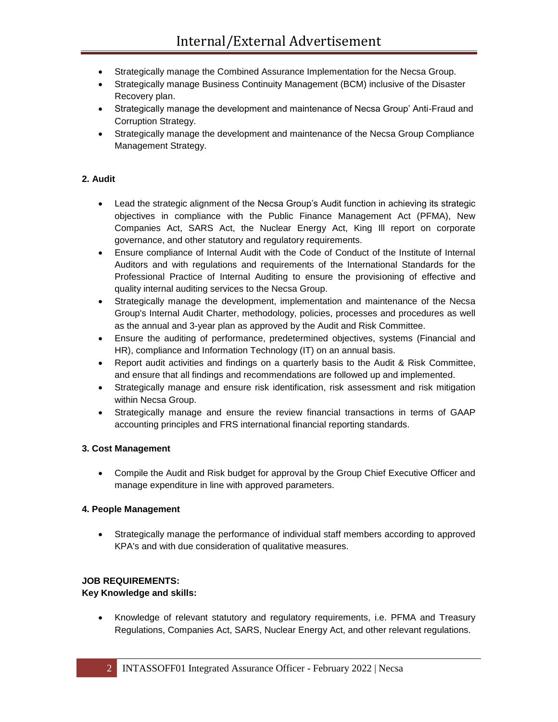- Strategically manage the Combined Assurance Implementation for the Necsa Group.
- Strategically manage Business Continuity Management (BCM) inclusive of the Disaster Recovery plan.
- Strategically manage the development and maintenance of Necsa Group' Anti-Fraud and Corruption Strategy.
- Strategically manage the development and maintenance of the Necsa Group Compliance Management Strategy.

## **2. Audit**

- Lead the strategic alignment of the Necsa Group's Audit function in achieving its strategic objectives in compliance with the Public Finance Management Act (PFMA), New Companies Act, SARS Act, the Nuclear Energy Act, King Ill report on corporate governance, and other statutory and regulatory requirements.
- Ensure compliance of Internal Audit with the Code of Conduct of the Institute of Internal Auditors and with regulations and requirements of the International Standards for the Professional Practice of Internal Auditing to ensure the provisioning of effective and quality internal auditing services to the Necsa Group.
- Strategically manage the development, implementation and maintenance of the Necsa Group's Internal Audit Charter, methodology, policies, processes and procedures as well as the annual and 3-year plan as approved by the Audit and Risk Committee.
- Ensure the auditing of performance, predetermined objectives, systems (Financial and HR), compliance and Information Technology (IT) on an annual basis.
- Report audit activities and findings on a quarterly basis to the Audit & Risk Committee, and ensure that all findings and recommendations are followed up and implemented.
- Strategically manage and ensure risk identification, risk assessment and risk mitigation within Necsa Group.
- Strategically manage and ensure the review financial transactions in terms of GAAP accounting principles and FRS international financial reporting standards.

#### **3. Cost Management**

 Compile the Audit and Risk budget for approval by the Group Chief Executive Officer and manage expenditure in line with approved parameters.

#### **4. People Management**

 Strategically manage the performance of individual staff members according to approved KPA's and with due consideration of qualitative measures.

#### **JOB REQUIREMENTS:**

#### **Key Knowledge and skills:**

 Knowledge of relevant statutory and regulatory requirements, i.e. PFMA and Treasury Regulations, Companies Act, SARS, Nuclear Energy Act, and other relevant regulations.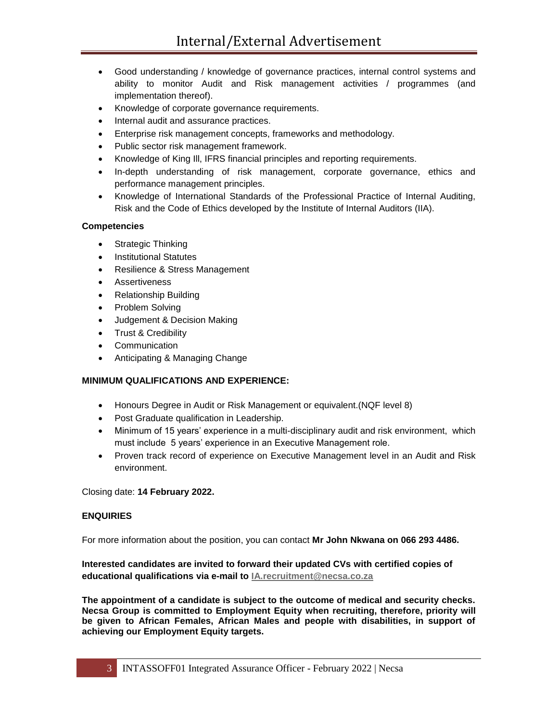- Good understanding / knowledge of governance practices, internal control systems and ability to monitor Audit and Risk management activities / programmes (and implementation thereof).
- Knowledge of corporate governance requirements.
- Internal audit and assurance practices.
- Enterprise risk management concepts, frameworks and methodology.
- Public sector risk management framework.
- Knowledge of King Ill, IFRS financial principles and reporting requirements.
- In-depth understanding of risk management, corporate governance, ethics and performance management principles.
- Knowledge of International Standards of the Professional Practice of Internal Auditing, Risk and the Code of Ethics developed by the Institute of Internal Auditors (IIA).

## **Competencies**

- Strategic Thinking
- Institutional Statutes
- Resilience & Stress Management
- Assertiveness
- Relationship Building
- Problem Solving
- Judgement & Decision Making
- Trust & Credibility
- Communication
- Anticipating & Managing Change

# **MINIMUM QUALIFICATIONS AND EXPERIENCE:**

- Honours Degree in Audit or Risk Management or equivalent.(NQF level 8)
- Post Graduate qualification in Leadership.
- Minimum of 15 years' experience in a multi-disciplinary audit and risk environment, which must include 5 years' experience in an Executive Management role.
- Proven track record of experience on Executive Management level in an Audit and Risk environment.

Closing date: **14 February 2022.**

#### **ENQUIRIES**

For more information about the position, you can contact **Mr John Nkwana on 066 293 4486.**

## **Interested candidates are invited to forward their updated CVs with certified copies of educational qualifications via e-mail to [IA.recruitment@necsa.co.za](mailto:IA.recruitment@necsa.co.za)**

**The appointment of a candidate is subject to the outcome of medical and security checks. Necsa Group is committed to Employment Equity when recruiting, therefore, priority will be given to African Females, African Males and people with disabilities, in support of achieving our Employment Equity targets.**